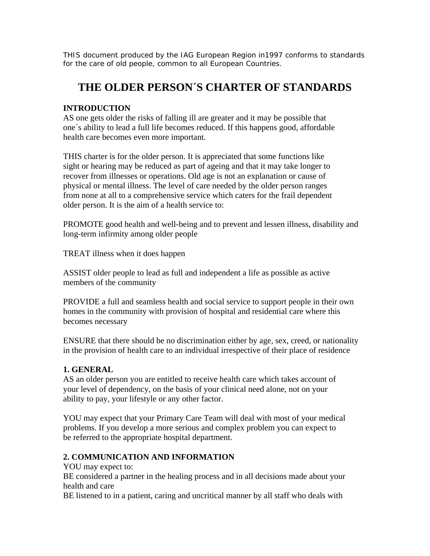THIS document produced by the IAG European Region in1997 conforms to standards for the care of old people, common to all European Countries.

# **THE OLDER PERSON´S CHARTER OF STANDARDS**

#### **INTRODUCTION**

AS one gets older the risks of falling ill are greater and it may be possible that one´s ability to lead a full life becomes reduced. If this happens good, affordable health care becomes even more important.

THIS charter is for the older person. It is appreciated that some functions like sight or hearing may be reduced as part of ageing and that it may take longer to recover from illnesses or operations. Old age is not an explanation or cause of physical or mental illness. The level of care needed by the older person ranges from none at all to a comprehensive service which caters for the frail dependent older person. It is the aim of a health service to:

PROMOTE good health and well-being and to prevent and lessen illness, disability and long-term infirmity among older people

TREAT illness when it does happen

ASSIST older people to lead as full and independent a life as possible as active members of the community

PROVIDE a full and seamless health and social service to support people in their own homes in the community with provision of hospital and residential care where this becomes necessary

ENSURE that there should be no discrimination either by age, sex, creed, or nationality in the provision of health care to an individual irrespective of their place of residence

#### **1. GENERAL**

AS an older person you are entitled to receive health care which takes account of your level of dependency, on the basis of your clinical need alone, not on your ability to pay, your lifestyle or any other factor.

YOU may expect that your Primary Care Team will deal with most of your medical problems. If you develop a more serious and complex problem you can expect to be referred to the appropriate hospital department.

#### **2. COMMUNICATION AND INFORMATION**

YOU may expect to:

BE considered a partner in the healing process and in all decisions made about your health and care

BE listened to in a patient, caring and uncritical manner by all staff who deals with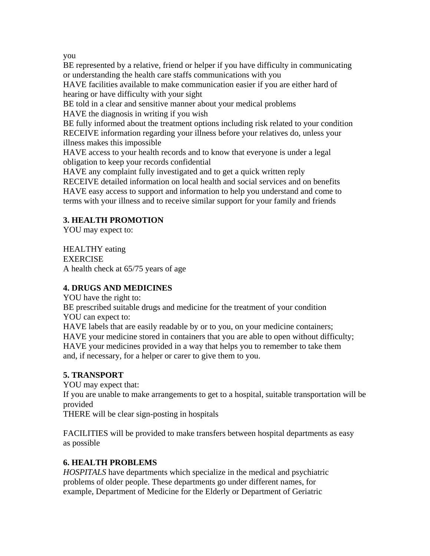you

BE represented by a relative, friend or helper if you have difficulty in communicating or understanding the health care staffs communications with you

HAVE facilities available to make communication easier if you are either hard of hearing or have difficulty with your sight

BE told in a clear and sensitive manner about your medical problems

HAVE the diagnosis in writing if you wish

BE fully informed about the treatment options including risk related to your condition RECEIVE information regarding your illness before your relatives do, unless your illness makes this impossible

HAVE access to your health records and to know that everyone is under a legal obligation to keep your records confidential

HAVE any complaint fully investigated and to get a quick written reply RECEIVE detailed information on local health and social services and on benefits HAVE easy access to support and information to help you understand and come to terms with your illness and to receive similar support for your family and friends

## **3. HEALTH PROMOTION**

YOU may expect to:

HEALTHY eating EXERCISE A health check at 65/75 years of age

## **4. DRUGS AND MEDICINES**

YOU have the right to:

BE prescribed suitable drugs and medicine for the treatment of your condition YOU can expect to:

HAVE labels that are easily readable by or to you, on your medicine containers;

HAVE your medicine stored in containers that you are able to open without difficulty;

HAVE your medicines provided in a way that helps you to remember to take them and, if necessary, for a helper or carer to give them to you.

## **5. TRANSPORT**

YOU may expect that: If you are unable to make arrangements to get to a hospital, suitable transportation will be provided

THERE will be clear sign-posting in hospitals

FACILITIES will be provided to make transfers between hospital departments as easy as possible

## **6. HEALTH PROBLEMS**

*HOSPITALS* have departments which specialize in the medical and psychiatric problems of older people. These departments go under different names, for example, Department of Medicine for the Elderly or Department of Geriatric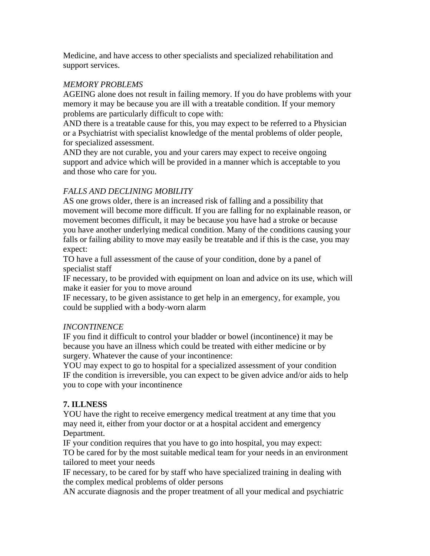Medicine, and have access to other specialists and specialized rehabilitation and support services.

#### *MEMORY PROBLEMS*

AGEING alone does not result in failing memory. If you do have problems with your memory it may be because you are ill with a treatable condition. If your memory problems are particularly difficult to cope with:

AND there is a treatable cause for this, you may expect to be referred to a Physician or a Psychiatrist with specialist knowledge of the mental problems of older people, for specialized assessment.

AND they are not curable, you and your carers may expect to receive ongoing support and advice which will be provided in a manner which is acceptable to you and those who care for you.

## *FALLS AND DECLINING MOBILITY*

AS one grows older, there is an increased risk of falling and a possibility that movement will become more difficult. If you are falling for no explainable reason, or movement becomes difficult, it may be because you have had a stroke or because you have another underlying medical condition. Many of the conditions causing your falls or failing ability to move may easily be treatable and if this is the case, you may expect:

TO have a full assessment of the cause of your condition, done by a panel of specialist staff

IF necessary, to be provided with equipment on loan and advice on its use, which will make it easier for you to move around

IF necessary, to be given assistance to get help in an emergency, for example, you could be supplied with a body-worn alarm

#### *INCONTINENCE*

IF you find it difficult to control your bladder or bowel (incontinence) it may be because you have an illness which could be treated with either medicine or by surgery. Whatever the cause of your incontinence:

YOU may expect to go to hospital for a specialized assessment of your condition IF the condition is irreversible, you can expect to be given advice and/or aids to help you to cope with your incontinence

## **7. ILLNESS**

YOU have the right to receive emergency medical treatment at any time that you may need it, either from your doctor or at a hospital accident and emergency Department.

IF your condition requires that you have to go into hospital, you may expect:

TO be cared for by the most suitable medical team for your needs in an environment tailored to meet your needs

IF necessary, to be cared for by staff who have specialized training in dealing with the complex medical problems of older persons

AN accurate diagnosis and the proper treatment of all your medical and psychiatric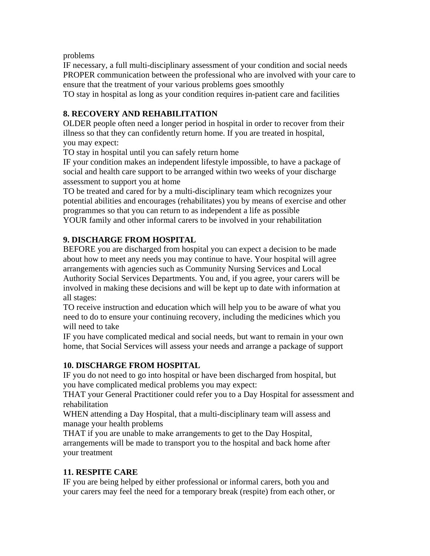problems

IF necessary, a full multi-disciplinary assessment of your condition and social needs PROPER communication between the professional who are involved with your care to ensure that the treatment of your various problems goes smoothly TO stay in hospital as long as your condition requires in-patient care and facilities

**8. RECOVERY AND REHABILITATION** 

OLDER people often need a longer period in hospital in order to recover from their illness so that they can confidently return home. If you are treated in hospital, you may expect:

TO stay in hospital until you can safely return home

IF your condition makes an independent lifestyle impossible, to have a package of social and health care support to be arranged within two weeks of your discharge assessment to support you at home

TO be treated and cared for by a multi-disciplinary team which recognizes your potential abilities and encourages (rehabilitates) you by means of exercise and other programmes so that you can return to as independent a life as possible YOUR family and other informal carers to be involved in your rehabilitation

## **9. DISCHARGE FROM HOSPITAL**

BEFORE you are discharged from hospital you can expect a decision to be made about how to meet any needs you may continue to have. Your hospital will agree arrangements with agencies such as Community Nursing Services and Local Authority Social Services Departments. You and, if you agree, your carers will be involved in making these decisions and will be kept up to date with information at all stages:

TO receive instruction and education which will help you to be aware of what you need to do to ensure your continuing recovery, including the medicines which you will need to take

IF you have complicated medical and social needs, but want to remain in your own home, that Social Services will assess your needs and arrange a package of support

## **10. DISCHARGE FROM HOSPITAL**

IF you do not need to go into hospital or have been discharged from hospital, but you have complicated medical problems you may expect:

THAT your General Practitioner could refer you to a Day Hospital for assessment and rehabilitation

WHEN attending a Day Hospital, that a multi-disciplinary team will assess and manage your health problems

THAT if you are unable to make arrangements to get to the Day Hospital, arrangements will be made to transport you to the hospital and back home after your treatment

#### **11. RESPITE CARE**

IF you are being helped by either professional or informal carers, both you and your carers may feel the need for a temporary break (respite) from each other, or